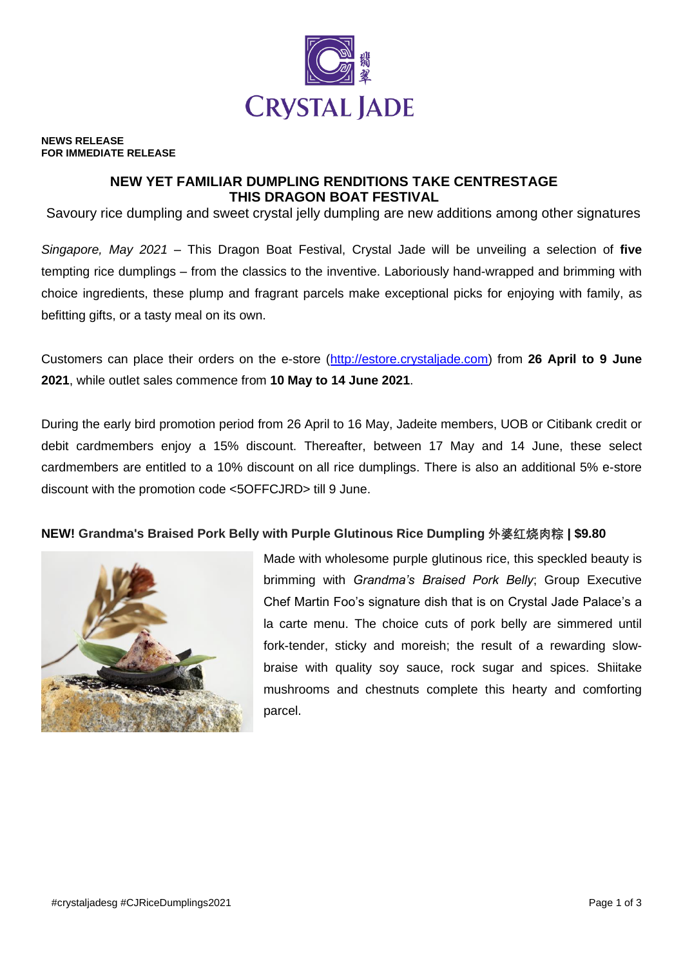

#### **NEWS RELEASE FOR IMMEDIATE RELEASE**

# **NEW YET FAMILIAR DUMPLING RENDITIONS TAKE CENTRESTAGE THIS DRAGON BOAT FESTIVAL**

Savoury rice dumpling and sweet crystal jelly dumpling are new additions among other signatures

*Singapore, May 2021* – This Dragon Boat Festival, Crystal Jade will be unveiling a selection of **five**  tempting rice dumplings – from the classics to the inventive. Laboriously hand-wrapped and brimming with choice ingredients, these plump and fragrant parcels make exceptional picks for enjoying with family, as befitting gifts, or a tasty meal on its own.

Customers can place their orders on the e-store [\(http://estore.crystaljade.com\)](http://estore.crystaljade.com/) from **26 April to 9 June 2021**, while outlet sales commence from **10 May to 14 June 2021**.

During the early bird promotion period from 26 April to 16 May, Jadeite members, UOB or Citibank credit or debit cardmembers enjoy a 15% discount. Thereafter, between 17 May and 14 June, these select cardmembers are entitled to a 10% discount on all rice dumplings. There is also an additional 5% e-store discount with the promotion code <5OFFCJRD> till 9 June.

## **NEW! Grandma's Braised Pork Belly with Purple Glutinous Rice Dumpling 外婆红烧肉粽 | \$9.80**



Made with wholesome purple glutinous rice, this speckled beauty is brimming with *Grandma's Braised Pork Belly*; Group Executive Chef Martin Foo's signature dish that is on Crystal Jade Palace's a la carte menu. The choice cuts of pork belly are simmered until fork-tender, sticky and moreish; the result of a rewarding slowbraise with quality soy sauce, rock sugar and spices. Shiitake mushrooms and chestnuts complete this hearty and comforting parcel.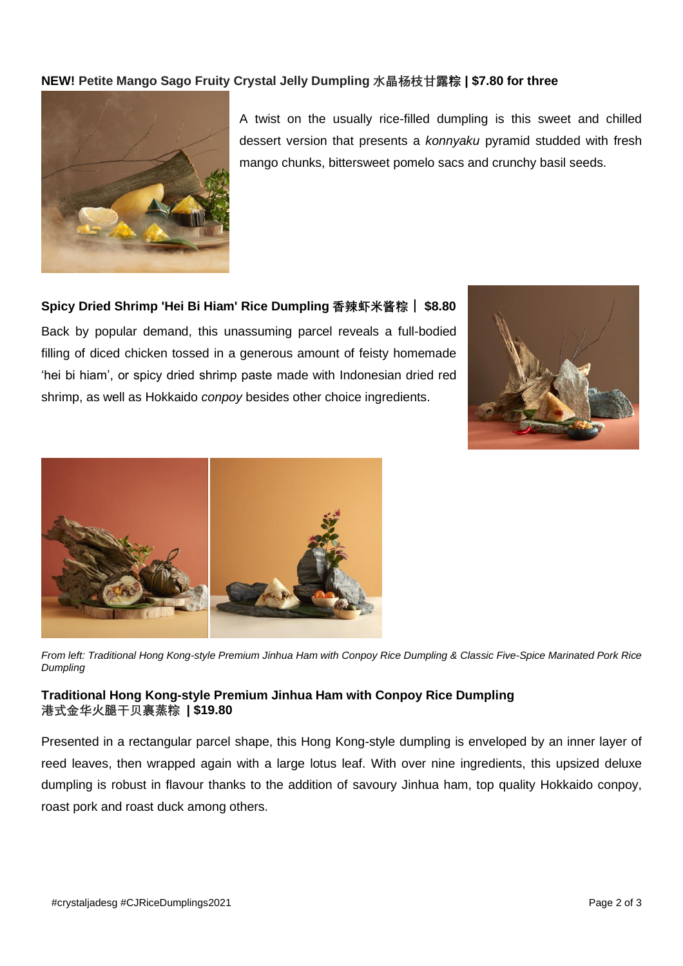# **NEW! Petite Mango Sago Fruity Crystal Jelly Dumpling 水晶杨枝甘露粽 | \$7.80 for three**



A twist on the usually rice-filled dumpling is this sweet and chilled dessert version that presents a *konnyaku* pyramid studded with fresh mango chunks, bittersweet pomelo sacs and crunchy basil seeds.

**Spicy Dried Shrimp 'Hei Bi Hiam' Rice Dumpling 香辣虾米酱粽** | **\$8.80**

Back by popular demand, this unassuming parcel reveals a full-bodied filling of diced chicken tossed in a generous amount of feisty homemade 'hei bi hiam', or spicy dried shrimp paste made with Indonesian dried red shrimp, as well as Hokkaido *conpoy* besides other choice ingredients.





*From left: Traditional Hong Kong-style Premium Jinhua Ham with Conpoy Rice Dumpling & Classic Five-Spice Marinated Pork Rice Dumpling*

#### **Traditional Hong Kong-style Premium Jinhua Ham with Conpoy Rice Dumpling 港式金华火腿干贝裹蒸粽 | \$19.80**

Presented in a rectangular parcel shape, this Hong Kong-style dumpling is enveloped by an inner layer of reed leaves, then wrapped again with a large lotus leaf. With over nine ingredients, this upsized deluxe dumpling is robust in flavour thanks to the addition of savoury Jinhua ham, top quality Hokkaido conpoy, roast pork and roast duck among others.